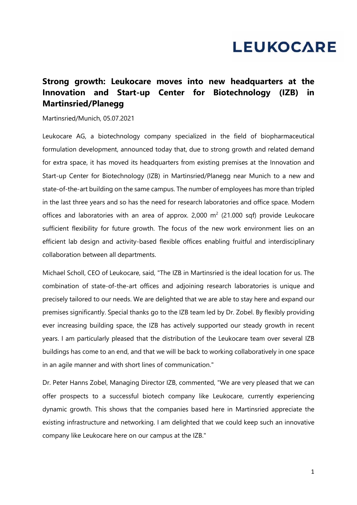# **LEUKOCARE**

## **Strong growth: Leukocare moves into new headquarters at the Innovation and Start-up Center for Biotechnology (IZB) in Martinsried/Planegg**

#### Martinsried/Munich, 05.07.2021

Leukocare AG, a biotechnology company specialized in the field of biopharmaceutical formulation development, announced today that, due to strong growth and related demand for extra space, it has moved its headquarters from existing premises at the Innovation and Start-up Center for Biotechnology (IZB) in Martinsried/Planegg near Munich to a new and state-of-the-art building on the same campus. The number of employees has more than tripled in the last three years and so has the need for research laboratories and office space. Modern offices and laboratories with an area of approx. 2,000  $m^2$  (21.000 sqf) provide Leukocare sufficient flexibility for future growth. The focus of the new work environment lies on an efficient lab design and activity-based flexible offices enabling fruitful and interdisciplinary collaboration between all departments.

Michael Scholl, CEO of Leukocare, said, "The IZB in Martinsried is the ideal location for us. The combination of state-of-the-art offices and adjoining research laboratories is unique and precisely tailored to our needs. We are delighted that we are able to stay here and expand our premises significantly. Special thanks go to the IZB team led by Dr. Zobel. By flexibly providing ever increasing building space, the IZB has actively supported our steady growth in recent years. I am particularly pleased that the distribution of the Leukocare team over several IZB buildings has come to an end, and that we will be back to working collaboratively in one space in an agile manner and with short lines of communication."

Dr. Peter Hanns Zobel, Managing Director IZB, commented, "We are very pleased that we can offer prospects to a successful biotech company like Leukocare, currently experiencing dynamic growth. This shows that the companies based here in Martinsried appreciate the existing infrastructure and networking. I am delighted that we could keep such an innovative company like Leukocare here on our campus at the IZB."